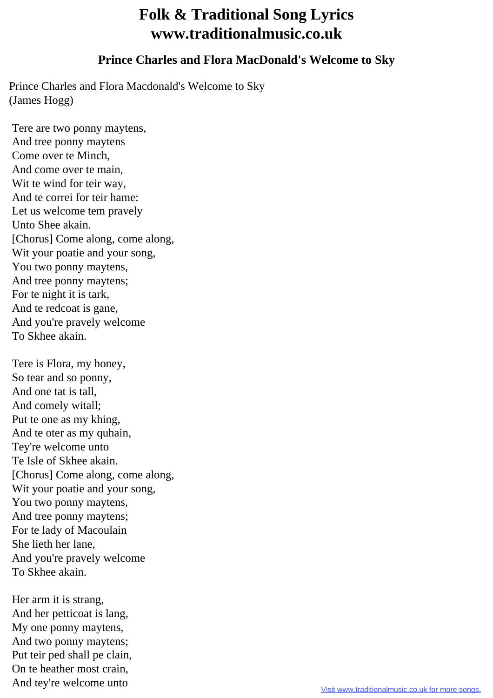## **Folk & Traditional Song Lyrics www.traditionalmusic.co.uk**

## **Prince Charles and Flora MacDonald's Welcome to Sky**

Prince Charles and Flora Macdonald's Welcome to Sky (James Hogg)

 Tere are two ponny maytens, And tree ponny maytens Come over te Minch, And come over te main, Wit te wind for teir way, And te correi for teir hame: Let us welcome tem pravely Unto Shee akain. [Chorus] Come along, come along, Wit your poatie and your song, You two ponny maytens, And tree ponny maytens; For te night it is tark, And te redcoat is gane, And you're pravely welcome To Skhee akain.

 Tere is Flora, my honey, So tear and so ponny, And one tat is tall, And comely witall; Put te one as my khing, And te oter as my quhain, Tey're welcome unto Te Isle of Skhee akain. [Chorus] Come along, come along, Wit your poatie and your song, You two ponny maytens, And tree ponny maytens; For te lady of Macoulain She lieth her lane, And you're pravely welcome To Skhee akain.

 Her arm it is strang, And her petticoat is lang, My one ponny maytens, And two ponny maytens; Put teir ped shall pe clain, On te heather most crain, And tey're welcome unto